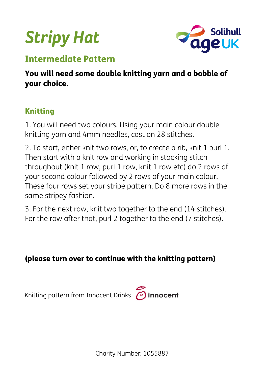



## Intermediate Pattern

You will need some double knitting yarn and a bobble of your choice.

### Knitting

1. You will need two colours. Using your main colour double knitting yarn and 4mm needles, cast on 28 stitches.

2. To start, either knit two rows, or, to create a rib, knit 1 purl 1. Then start with a knit row and working in stocking stitch throughout (knit 1 row, purl 1 row, knit 1 row etc) do 2 rows of your second colour followed by 2 rows of your main colour. These four rows set your stripe pattern. Do 8 more rows in the same stripey fashion.

3. For the next row, knit two together to the end (14 stitches). For the row after that, purl 2 together to the end (7 stitches).

(please turn over to continue with the knitting pattern)